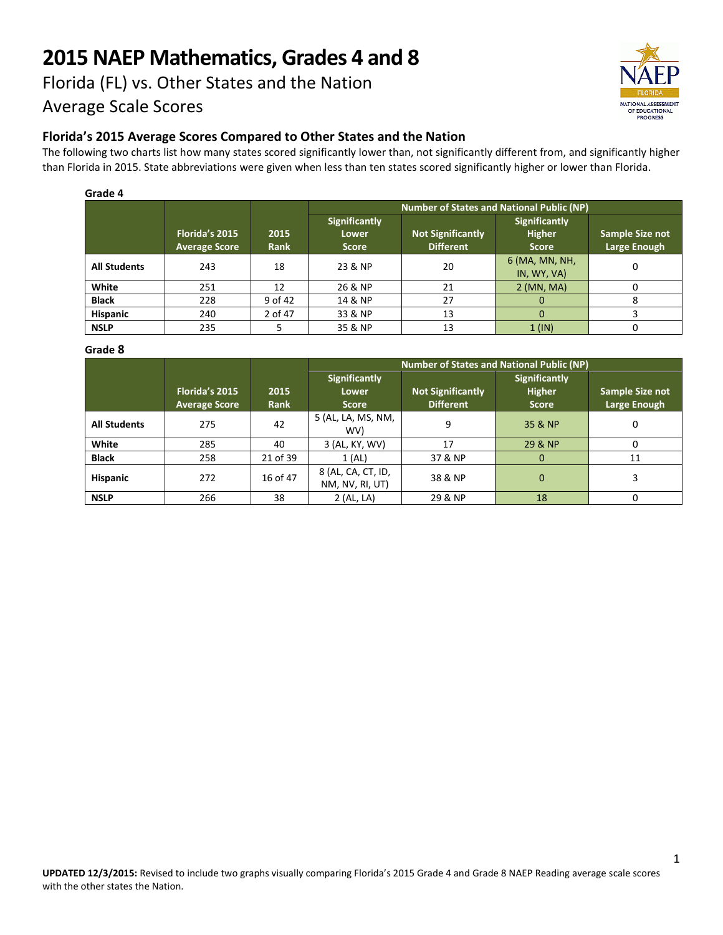# **2015 NAEP Mathematics, Grades 4 and 8**

## Florida (FL) vs. Other States and the Nation Average Scale Scores



**Florida's 2015 Average Scores Compared to Other States and the Nation**

The following two charts list how many states scored significantly lower than, not significantly different from, and significantly higher than Florida in 2015. State abbreviations were given when less than ten states scored significantly higher or lower than Florida.

| Grade 4             |                      |         |                                                  |                   |                                       |                 |  |  |
|---------------------|----------------------|---------|--------------------------------------------------|-------------------|---------------------------------------|-----------------|--|--|
|                     |                      |         | <b>Number of States and National Public (NP)</b> |                   |                                       |                 |  |  |
|                     | Florida's 2015       | 2015    | <b>Significantly</b><br><b>Lower</b>             | Not Significantly | <b>Significantly</b><br><b>Higher</b> | Sample Size not |  |  |
|                     | <b>Average Score</b> | Rank    | <b>Score</b>                                     | <b>Different</b>  | <b>Score</b>                          | Large Enough    |  |  |
| <b>All Students</b> | 243                  | 18      | 23 & NP                                          | 20                | 6 (MA, MN, NH,<br>IN, WY, VA)         | 0               |  |  |
| White               | 251                  | 12      | 26 & NP                                          | 21                | $2$ (MN, MA)                          |                 |  |  |
| <b>Black</b>        | 228                  | 9 of 42 | 14 & NP                                          | 27                |                                       |                 |  |  |
| <b>Hispanic</b>     | 240                  | 2 of 47 | 33 & NP                                          | 13                |                                       |                 |  |  |
| <b>NSLP</b>         | 235                  |         | 35 & NP                                          | 13                | $1$ (IN)                              |                 |  |  |

#### **Grade 8**

|                     |                                        |              | <b>Number of States and National Public (NP)</b> |                                              |                                                       |                                 |
|---------------------|----------------------------------------|--------------|--------------------------------------------------|----------------------------------------------|-------------------------------------------------------|---------------------------------|
|                     | Florida's 2015<br><b>Average Score</b> | 2015<br>Rank | <b>Significantly</b><br>Lower<br><b>Score</b>    | <b>Not Significantly</b><br><b>Different</b> | <b>Significantly</b><br><b>Higher</b><br><b>Score</b> | Sample Size not<br>Large Enough |
| <b>All Students</b> | 275                                    | 42           | 5 (AL, LA, MS, NM,<br>WV)                        | 9                                            | 35 & NP                                               | 0                               |
| White               | 285                                    | 40           | 3 (AL, KY, WV)                                   | 17                                           | 29 & NP                                               |                                 |
| <b>Black</b>        | 258                                    | 21 of 39     | 1(AL)                                            | 37 & NP                                      | 0                                                     | 11                              |
| <b>Hispanic</b>     | 272                                    | 16 of 47     | 8 (AL, CA, CT, ID,<br>NM, NV, RI, UT)            | 38 & NP                                      | $\Omega$                                              |                                 |
| <b>NSLP</b>         | 266                                    | 38           | 2 (AL, LA)                                       | 29 & NP                                      | 18                                                    |                                 |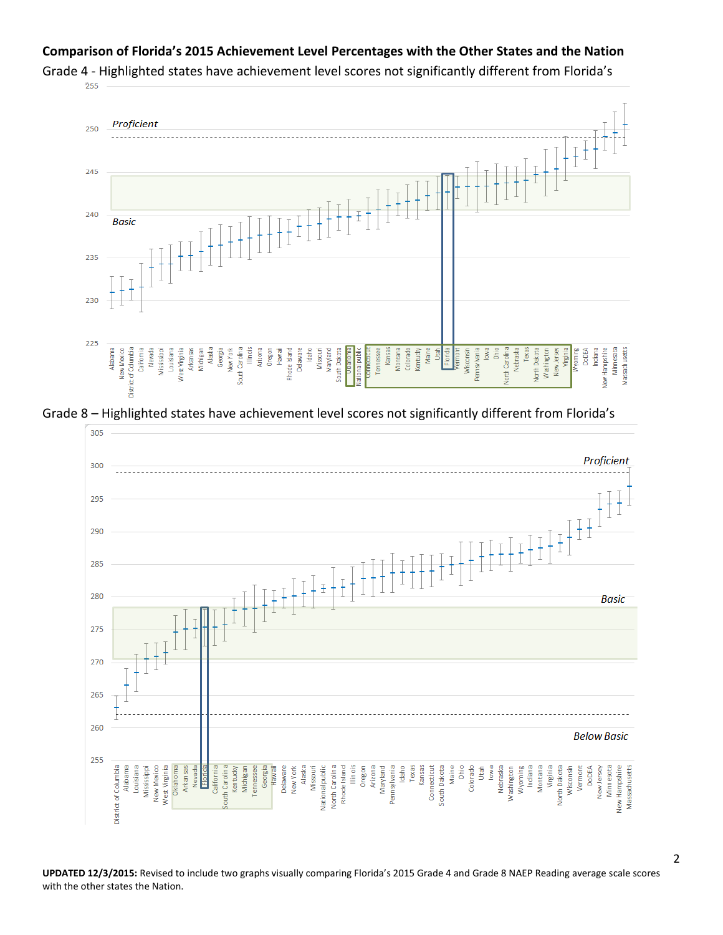#### **Comparison of Florida's 2015 Achievement Level Percentages with the Other States and the Nation**



Grade 4 - Highlighted states have achievement level scores not significantly different from Florida's<br>
<sup>255</sup>

Grade 8 – Highlighted states have achievement level scores not significantly different from Florida's



**UPDATED 12/3/2015:** Revised to include two graphs visually comparing Florida's 2015 Grade 4 and Grade 8 NAEP Reading average scale scores with the other states the Nation.